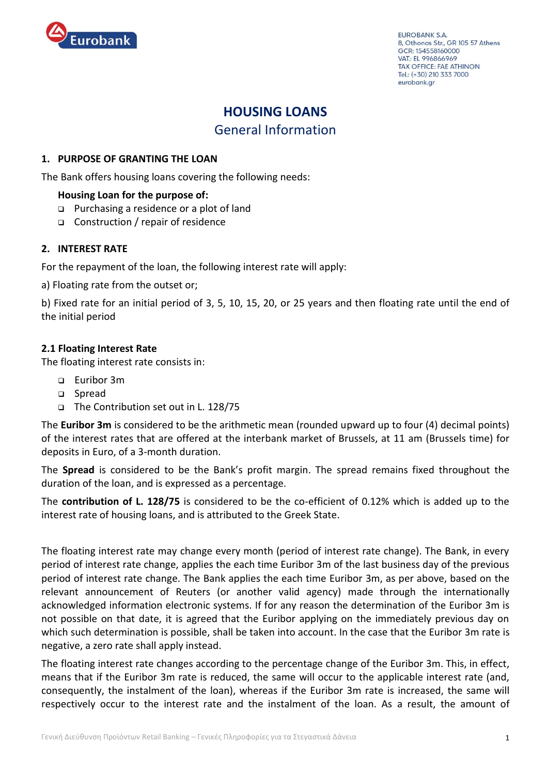

EUROBANK S.A. 8, Othonos Str., GR 105 57 Athens GCR: 154558160000 VAT: EL 996866969 **TAX OFFICE: FAE ATHINON** Tel.: (+30) 210 333 7000 eurobank.gr

# **HOUSING LOANS** General Information

# **1. PURPOSE OF GRANTING THE LOAN**

The Bank offers housing loans covering the following needs:

# **Housing Loan for the purpose of:**

- **Purchasing a residence or a plot of land**
- □ Construction / repair of residence

# **2. INTEREST RATE**

For the repayment of the loan, the following interest rate will apply:

a) Floating rate from the outset or;

b) Fixed rate for an initial period of 3, 5, 10, 15, 20, or 25 years and then floating rate until the end of the initial period

# **2.1 Floating Interest Rate**

The floating interest rate consists in:

- Euribor 3m
- □ Spread
- The Contribution set out in L. 128/75

The **Euribor 3m** is considered to be the arithmetic mean (rounded upward up to four (4) decimal points) of the interest rates that are offered at the interbank market of Brussels, at 11 am (Brussels time) for deposits in Euro, of a 3-month duration.

The **Spread** is considered to be the Bank's profit margin. The spread remains fixed throughout the duration of the loan, and is expressed as a percentage.

The **contribution of L. 128/75** is considered to be the co-efficient of 0.12% which is added up to the interest rate of housing loans, and is attributed to the Greek State.

The floating interest rate may change every month (period of interest rate change). The Bank, in every period of interest rate change, applies the each time Euribor 3m of the last business day of the previous period of interest rate change. The Bank applies the each time Euribor 3m, as per above, based on the relevant announcement of Reuters (or another valid agency) made through the internationally acknowledged information electronic systems. If for any reason the determination of the Euribor 3m is not possible on that date, it is agreed that the Euribor applying on the immediately previous day on which such determination is possible, shall be taken into account. In the case that the Euribor 3m rate is negative, a zero rate shall apply instead.

The floating interest rate changes according to the percentage change of the Euribor 3m. This, in effect, means that if the Euribor 3m rate is reduced, the same will occur to the applicable interest rate (and, consequently, the instalment of the loan), whereas if the Euribor 3m rate is increased, the same will respectively occur to the interest rate and the instalment of the loan. As a result, the amount of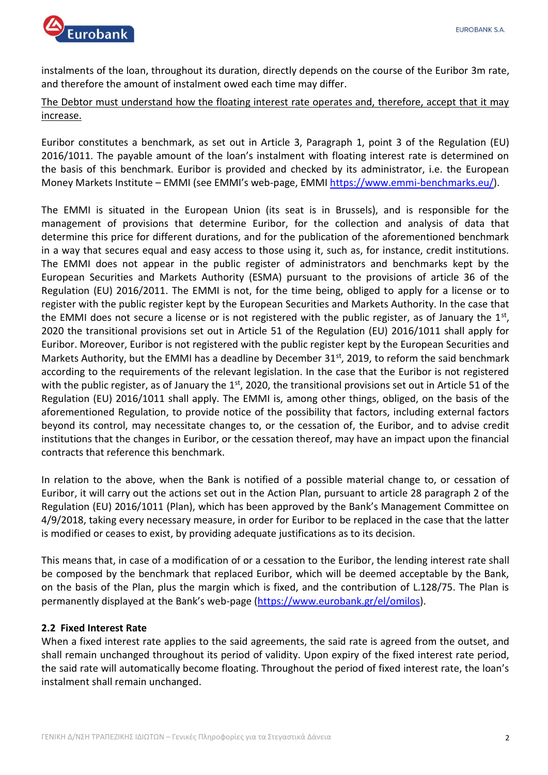

instalments of the loan, throughout its duration, directly depends on the course of the Euribor 3m rate, and therefore the amount of instalment owed each time may differ.

# The Debtor must understand how the floating interest rate operates and, therefore, accept that it may increase.

Euribor constitutes a benchmark, as set out in Article 3, Paragraph 1, point 3 of the Regulation (EU) 2016/1011. The payable amount of the loan's instalment with floating interest rate is determined on the basis of this benchmark. Euribor is provided and checked by its administrator, i.e. the European Money Markets Institute – EMMI (see EMMI's web-page, ΕΜΜΙ [https://www.emmi-benchmarks.eu/\)](https://www.emmi-benchmarks.eu/).

The EMMI is situated in the European Union (its seat is in Brussels), and is responsible for the management of provisions that determine Euribor, for the collection and analysis of data that determine this price for different durations, and for the publication of the aforementioned benchmark in a way that secures equal and easy access to those using it, such as, for instance, credit institutions. The EMMI does not appear in the public register of administrators and benchmarks kept by the European Securities and Markets Authority (ESMA) pursuant to the provisions of article 36 of the Regulation (EU) 2016/2011. The EMMI is not, for the time being, obliged to apply for a license or to register with the public register kept by the European Securities and Markets Authority. In the case that the EMMI does not secure a license or is not registered with the public register, as of January the  $1<sup>st</sup>$ , 2020 the transitional provisions set out in Article 51 of the Regulation (EU) 2016/1011 shall apply for Euribor. Moreover, Euribor is not registered with the public register kept by the European Securities and Markets Authority, but the EMMI has a deadline by December 31<sup>st</sup>, 2019, to reform the said benchmark according to the requirements of the relevant legislation. In the case that the Euribor is not registered with the public register, as of January the  $1<sup>st</sup>$ , 2020, the transitional provisions set out in Article 51 of the Regulation (EU) 2016/1011 shall apply. The EMMI is, among other things, obliged, on the basis of the aforementioned Regulation, to provide notice of the possibility that factors, including external factors beyond its control, may necessitate changes to, or the cessation of, the Euribor, and to advise credit institutions that the changes in Euribor, or the cessation thereof, may have an impact upon the financial contracts that reference this benchmark.

In relation to the above, when the Bank is notified of a possible material change to, or cessation of Euribor, it will carry out the actions set out in the Action Plan, pursuant to article 28 paragraph 2 of the Regulation (EU) 2016/1011 (Plan), which has been approved by the Bank's Management Committee on 4/9/2018, taking every necessary measure, in order for Euribor to be replaced in the case that the latter is modified or ceases to exist, by providing adequate justifications as to its decision.

This means that, in case of a modification of or a cessation to the Euribor, the lending interest rate shall be composed by the benchmark that replaced Euribor, which will be deemed acceptable by the Bank, on the basis of the Plan, plus the margin which is fixed, and the contribution of L.128/75. The Plan is permanently displayed at the Bank's web-page [\(https://www.eurobank.gr/el/omilos\)](https://www.eurobank.gr/el/omilos).

# **2.2 Fixed Interest Rate**

When a fixed interest rate applies to the said agreements, the said rate is agreed from the outset, and shall remain unchanged throughout its period of validity. Upon expiry of the fixed interest rate period, the said rate will automatically become floating. Throughout the period of fixed interest rate, the loan's instalment shall remain unchanged.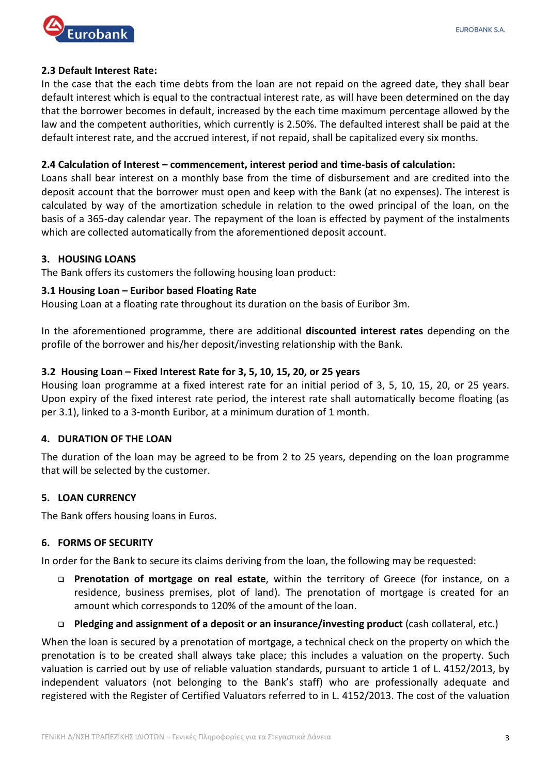

#### **2.3 Default Interest Rate:**

In the case that the each time debts from the loan are not repaid on the agreed date, they shall bear default interest which is equal to the contractual interest rate, as will have been determined on the day that the borrower becomes in default, increased by the each time maximum percentage allowed by the law and the competent authorities, which currently is 2.50%. The defaulted interest shall be paid at the default interest rate, and the accrued interest, if not repaid, shall be capitalized every six months.

#### **2.4 Calculation of Interest – commencement, interest period and time-basis of calculation:**

Loans shall bear interest on a monthly base from the time of disbursement and are credited into the deposit account that the borrower must open and keep with the Bank (at no expenses). The interest is calculated by way of the amortization schedule in relation to the owed principal of the loan, on the basis of a 365-day calendar year. The repayment of the loan is effected by payment of the instalments which are collected automatically from the aforementioned deposit account.

#### **3. HOUSING LOANS**

The Bank offers its customers the following housing loan product:

#### **3.1 Housing Loan – Euribor based Floating Rate**

Housing Loan at a floating rate throughout its duration on the basis of Euribor 3m.

In the aforementioned programme, there are additional **discounted interest rates** depending on the profile of the borrower and his/her deposit/investing relationship with the Bank.

# **3.2 Housing Loan – Fixed Interest Rate for 3, 5, 10, 15, 20, or 25 years**

Housing loan programme at a fixed interest rate for an initial period of 3, 5, 10, 15, 20, or 25 years. Upon expiry of the fixed interest rate period, the interest rate shall automatically become floating (as per 3.1), linked to a 3-month Euribor, at a minimum duration of 1 month.

# **4. DURATION OF THE LOAN**

The duration of the loan may be agreed to be from 2 to 25 years, depending on the loan programme that will be selected by the customer.

# **5. LOAN CURRENCY**

The Bank offers housing loans in Euros.

# **6. FORMS OF SECURITY**

In order for the Bank to secure its claims deriving from the loan, the following may be requested:

- **Prenotation of mortgage on real estate**, within the territory of Greece (for instance, on a residence, business premises, plot of land). The prenotation of mortgage is created for an amount which corresponds to 120% of the amount of the loan.
- **Pledging and assignment of a deposit or an insurance/investing product** (cash collateral, etc.)

When the loan is secured by a prenotation of mortgage, a technical check on the property on which the prenotation is to be created shall always take place; this includes a valuation on the property. Such valuation is carried out by use of reliable valuation standards, pursuant to article 1 of L. 4152/2013, by independent valuators (not belonging to the Bank's staff) who are professionally adequate and registered with the Register of Certified Valuators referred to in L. 4152/2013. The cost of the valuation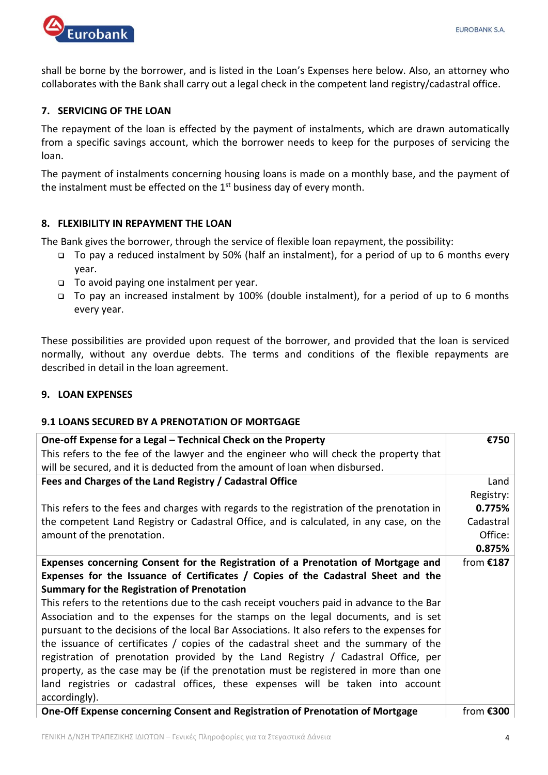

shall be borne by the borrower, and is listed in the Loan's Expenses here below. Also, an attorney who collaborates with the Bank shall carry out a legal check in the competent land registry/cadastral office.

# **7. SERVICING OF THE LOAN**

The repayment of the loan is effected by the payment of instalments, which are drawn automatically from a specific savings account, which the borrower needs to keep for the purposes of servicing the loan.

The payment of instalments concerning housing loans is made on a monthly base, and the payment of the instalment must be effected on the 1<sup>st</sup> business day of every month.

# **8. FLEXIBILITY IN REPAYMENT THE LOAN**

The Bank gives the borrower, through the service of flexible loan repayment, the possibility:

- To pay a reduced instalment by 50% (half an instalment), for a period of up to 6 months every year.
- □ To avoid paying one instalment per year.
- To pay an increased instalment by 100% (double instalment), for a period of up to 6 months every year.

These possibilities are provided upon request of the borrower, and provided that the loan is serviced normally, without any overdue debts. The terms and conditions of the flexible repayments are described in detail in the loan agreement.

# **9. LOAN EXPENSES**

# **9.1 LOANS SECURED BY A PRENOTATION OF MORTGAGE**

| One-off Expense for a Legal - Technical Check on the Property                               | €750        |
|---------------------------------------------------------------------------------------------|-------------|
| This refers to the fee of the lawyer and the engineer who will check the property that      |             |
| will be secured, and it is deducted from the amount of loan when disbursed.                 |             |
| Fees and Charges of the Land Registry / Cadastral Office                                    | Land $ $    |
|                                                                                             | Registry:   |
| This refers to the fees and charges with regards to the registration of the prenotation in  | 0.775%      |
| the competent Land Registry or Cadastral Office, and is calculated, in any case, on the     | Cadastral   |
| amount of the prenotation.                                                                  | Office:     |
|                                                                                             | 0.875%      |
| Expenses concerning Consent for the Registration of a Prenotation of Mortgage and           | from $£187$ |
| Expenses for the Issuance of Certificates / Copies of the Cadastral Sheet and the           |             |
| <b>Summary for the Registration of Prenotation</b>                                          |             |
| This refers to the retentions due to the cash receipt vouchers paid in advance to the Bar   |             |
| Association and to the expenses for the stamps on the legal documents, and is set           |             |
| pursuant to the decisions of the local Bar Associations. It also refers to the expenses for |             |
| the issuance of certificates $/$ copies of the cadastral sheet and the summary of the       |             |
| registration of prenotation provided by the Land Registry / Cadastral Office, per           |             |
| property, as the case may be (if the prenotation must be registered in more than one        |             |
| land registries or cadastral offices, these expenses will be taken into account             |             |
| accordingly).                                                                               |             |
| One-Off Expense concerning Consent and Registration of Prenotation of Mortgage              | from €300   |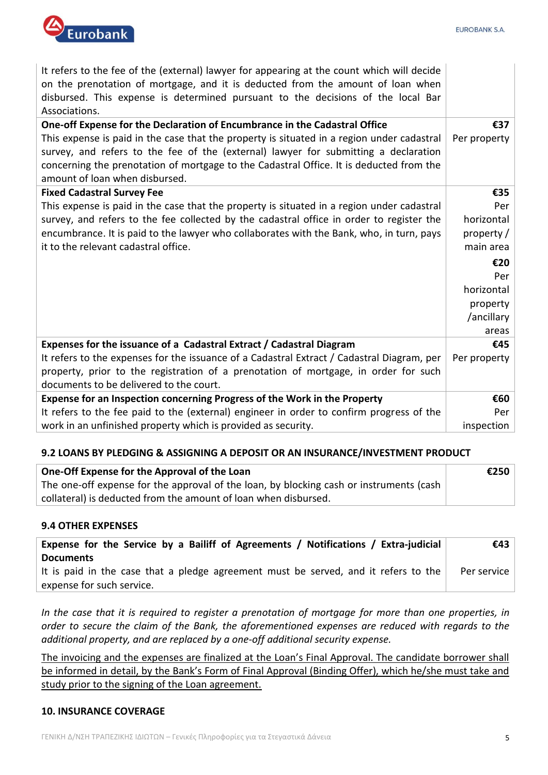

It refers to the fee of the (external) lawyer for appearing at the count which will decide on the prenotation of mortgage, and it is deducted from the amount of loan when disbursed. This expense is determined pursuant to the decisions of the local Bar Associations.

| One-off Expense for the Declaration of Encumbrance in the Cadastral Office                 | €37          |
|--------------------------------------------------------------------------------------------|--------------|
| This expense is paid in the case that the property is situated in a region under cadastral | Per property |
| survey, and refers to the fee of the (external) lawyer for submitting a declaration        |              |
| concerning the prenotation of mortgage to the Cadastral Office. It is deducted from the    |              |
| amount of loan when disbursed.                                                             |              |
| <b>Fixed Cadastral Survey Fee</b>                                                          | €35          |
| This expense is paid in the case that the property is situated in a region under cadastral | Per          |
| survey, and refers to the fee collected by the cadastral office in order to register the   | horizontal   |
| encumbrance. It is paid to the lawyer who collaborates with the Bank, who, in turn, pays   | property /   |
| it to the relevant cadastral office.                                                       | main area    |
|                                                                                            | €20          |
|                                                                                            | Per          |
|                                                                                            | horizontal   |
|                                                                                            | property     |
|                                                                                            | /ancillary   |
|                                                                                            | areas        |
| Expenses for the issuance of a Cadastral Extract / Cadastral Diagram                       | €45          |
| It refers to the expenses for the issuance of a Cadastral Extract / Cadastral Diagram, per | Per property |
| property, prior to the registration of a prenotation of mortgage, in order for such        |              |
| documents to be delivered to the court.                                                    |              |
| Expense for an Inspection concerning Progress of the Work in the Property                  | €60          |
| It refers to the fee paid to the (external) engineer in order to confirm progress of the   | Per          |
| work in an unfinished property which is provided as security.                              | inspection   |

# **9.2 LOANS BY PLEDGING & ASSIGNING A DEPOSIT OR AN INSURANCE/INVESTMENT PRODUCT**

| One-Off Expense for the Approval of the Loan                                            | €250 |
|-----------------------------------------------------------------------------------------|------|
| The one-off expense for the approval of the loan, by blocking cash or instruments (cash |      |
| collateral) is deducted from the amount of loan when disbursed.                         |      |

#### **9.4 OTHER EXPENSES**

| Expense for the Service by a Bailiff of Agreements / Notifications / Extra-judicial | €43∣        |
|-------------------------------------------------------------------------------------|-------------|
| <b>Documents</b>                                                                    |             |
| It is paid in the case that a pledge agreement must be served, and it refers to the | Per service |
| expense for such service.                                                           |             |

*In the case that it is required to register a prenotation of mortgage for more than one properties, in order to secure the claim of the Bank, the aforementioned expenses are reduced with regards to the additional property, and are replaced by a one-off additional security expense.* 

The invoicing and the expenses are finalized at the Loan's Final Approval. The candidate borrower shall be informed in detail, by the Bank's Form of Final Approval (Binding Offer), which he/she must take and study prior to the signing of the Loan agreement.

#### **10. INSURANCE COVERAGE**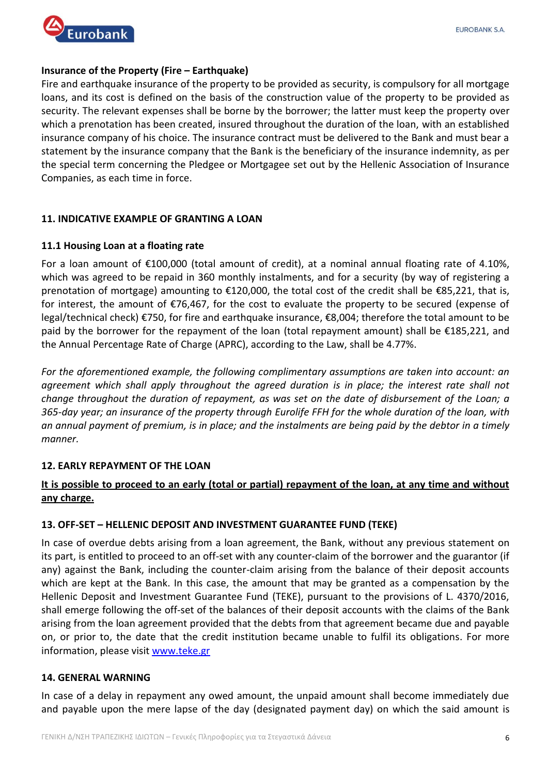

# **Insurance of the Property (Fire – Earthquake)**

Fire and earthquake insurance of the property to be provided as security, is compulsory for all mortgage loans, and its cost is defined on the basis of the construction value of the property to be provided as security. The relevant expenses shall be borne by the borrower; the latter must keep the property over which a prenotation has been created, insured throughout the duration of the loan, with an established insurance company of his choice. The insurance contract must be delivered to the Bank and must bear a statement by the insurance company that the Bank is the beneficiary of the insurance indemnity, as per the special term concerning the Pledgee or Mortgagee set out by the Hellenic Association of Insurance Companies, as each time in force.

# **11. INDICATIVE EXAMPLE OF GRANTING A LOAN**

# **11.1 Housing Loan at a floating rate**

For a loan amount of €100,000 (total amount of credit), at a nominal annual floating rate of 4.10%, which was agreed to be repaid in 360 monthly instalments, and for a security (by way of registering a prenotation of mortgage) amounting to €120,000, the total cost of the credit shall be €85,221, that is, for interest, the amount of €76,467, for the cost to evaluate the property to be secured (expense of legal/technical check) €750, for fire and earthquake insurance, €8,004; therefore the total amount to be paid by the borrower for the repayment of the loan (total repayment amount) shall be €185,221, and the Annual Percentage Rate of Charge (APRC), according to the Law, shall be 4.77%.

*For the aforementioned example, the following complimentary assumptions are taken into account: an agreement which shall apply throughout the agreed duration is in place; the interest rate shall not change throughout the duration of repayment, as was set on the date of disbursement of the Loan; a 365-day year; an insurance of the property through Eurolife FFH for the whole duration of the loan, with an annual payment of premium, is in place; and the instalments are being paid by the debtor in a timely manner.* 

# **12. EARLY REPAYMENT OF THE LOAN**

# **It is possible to proceed to an early (total or partial) repayment of the loan, at any time and without any charge.**

# **13. OFF-SET – HELLENIC DEPOSIT AND INVESTMENT GUARANTEE FUND (TEKE)**

In case of overdue debts arising from a loan agreement, the Bank, without any previous statement on its part, is entitled to proceed to an off-set with any counter-claim of the borrower and the guarantor (if any) against the Bank, including the counter-claim arising from the balance of their deposit accounts which are kept at the Bank. In this case, the amount that may be granted as a compensation by the Hellenic Deposit and Investment Guarantee Fund (TEKE), pursuant to the provisions of L. 4370/2016, shall emerge following the off-set of the balances of their deposit accounts with the claims of the Bank arising from the loan agreement provided that the debts from that agreement became due and payable on, or prior to, the date that the credit institution became unable to fulfil its obligations. For more information, please visit [www.teke.gr](http://www.teke.gr/)

# **14. GENERAL WARNING**

In case of a delay in repayment any owed amount, the unpaid amount shall become immediately due and payable upon the mere lapse of the day (designated payment day) on which the said amount is